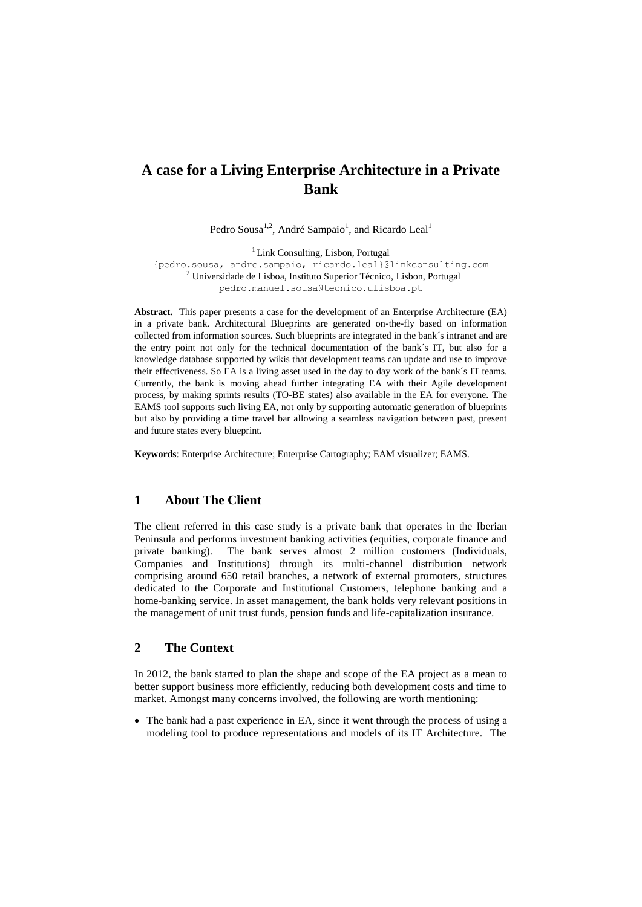# **A case for a Living Enterprise Architecture in a Private Bank**

Pedro Sousa<sup>1,2</sup>, André Sampaio<sup>1</sup>, and Ricardo Leal<sup>1</sup>

<sup>1</sup> Link Consulting, Lisbon, Portugal

{pedro.sousa, andre.sampaio, ricardo.leal}@linkconsulting.com <sup>2</sup> Universidade de Lisboa, Instituto Superior Técnico, Lisbon, Portugal [pedro.manuel.sousa@tecnico.ulisboa.pt](mailto:pedro.manuel.sousa@tecnico.ulisboa.pt)

**Abstract.** This paper presents a case for the development of an Enterprise Architecture (EA) in a private bank. Architectural Blueprints are generated on-the-fly based on information collected from information sources. Such blueprints are integrated in the bank´s intranet and are the entry point not only for the technical documentation of the bank´s IT, but also for a knowledge database supported by wikis that development teams can update and use to improve their effectiveness. So EA is a living asset used in the day to day work of the bank´s IT teams. Currently, the bank is moving ahead further integrating EA with their Agile development process, by making sprints results (TO-BE states) also available in the EA for everyone. The EAMS tool supports such living EA, not only by supporting automatic generation of blueprints but also by providing a time travel bar allowing a seamless navigation between past, present and future states every blueprint.

**Keywords**: Enterprise Architecture; Enterprise Cartography; EAM visualizer; EAMS.

## **1 About The Client**

The client referred in this case study is a private bank that operates in the Iberian Peninsula and performs investment banking activities (equities, corporate finance and private banking). The bank serves almost 2 million customers (Individuals, Companies and Institutions) through its multi-channel distribution network comprising around 650 retail branches, a network of external promoters, structures dedicated to the Corporate and Institutional Customers, telephone banking and a home-banking service. In asset management, the bank holds very relevant positions in the management of unit trust funds, pension funds and life-capitalization insurance.

## **2 The Context**

In 2012, the bank started to plan the shape and scope of the EA project as a mean to better support business more efficiently, reducing both development costs and time to market. Amongst many concerns involved, the following are worth mentioning:

 The bank had a past experience in EA, since it went through the process of using a modeling tool to produce representations and models of its IT Architecture. The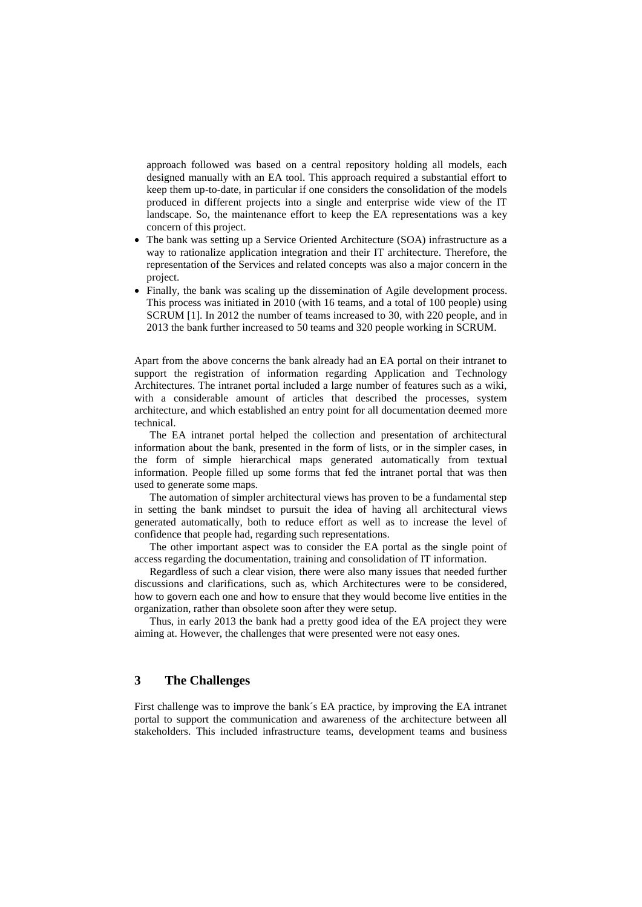approach followed was based on a central repository holding all models, each designed manually with an EA tool. This approach required a substantial effort to keep them up-to-date, in particular if one considers the consolidation of the models produced in different projects into a single and enterprise wide view of the IT landscape. So, the maintenance effort to keep the EA representations was a key concern of this project.

- The bank was setting up a Service Oriented Architecture (SOA) infrastructure as a way to rationalize application integration and their IT architecture. Therefore, the representation of the Services and related concepts was also a major concern in the project.
- Finally, the bank was scaling up the dissemination of Agile development process. This process was initiated in 2010 (with 16 teams, and a total of 100 people) using SCRUM [1]. In 2012 the number of teams increased to 30, with 220 people, and in 2013 the bank further increased to 50 teams and 320 people working in SCRUM.

Apart from the above concerns the bank already had an EA portal on their intranet to support the registration of information regarding Application and Technology Architectures. The intranet portal included a large number of features such as a wiki, with a considerable amount of articles that described the processes, system architecture, and which established an entry point for all documentation deemed more technical.

The EA intranet portal helped the collection and presentation of architectural information about the bank, presented in the form of lists, or in the simpler cases, in the form of simple hierarchical maps generated automatically from textual information. People filled up some forms that fed the intranet portal that was then used to generate some maps.

The automation of simpler architectural views has proven to be a fundamental step in setting the bank mindset to pursuit the idea of having all architectural views generated automatically, both to reduce effort as well as to increase the level of confidence that people had, regarding such representations.

The other important aspect was to consider the EA portal as the single point of access regarding the documentation, training and consolidation of IT information.

Regardless of such a clear vision, there were also many issues that needed further discussions and clarifications, such as, which Architectures were to be considered, how to govern each one and how to ensure that they would become live entities in the organization, rather than obsolete soon after they were setup.

Thus, in early 2013 the bank had a pretty good idea of the EA project they were aiming at. However, the challenges that were presented were not easy ones.

## **3 The Challenges**

First challenge was to improve the bank´s EA practice, by improving the EA intranet portal to support the communication and awareness of the architecture between all stakeholders. This included infrastructure teams, development teams and business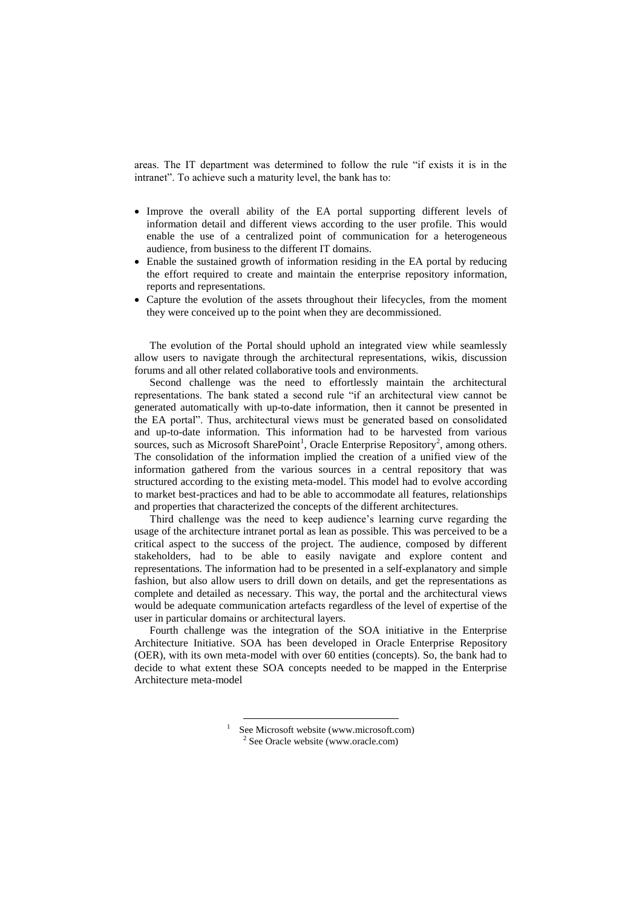areas. The IT department was determined to follow the rule "if exists it is in the intranet". To achieve such a maturity level, the bank has to:

- Improve the overall ability of the EA portal supporting different levels of information detail and different views according to the user profile. This would enable the use of a centralized point of communication for a heterogeneous audience, from business to the different IT domains.
- Enable the sustained growth of information residing in the EA portal by reducing the effort required to create and maintain the enterprise repository information, reports and representations.
- Capture the evolution of the assets throughout their lifecycles, from the moment they were conceived up to the point when they are decommissioned.

The evolution of the Portal should uphold an integrated view while seamlessly allow users to navigate through the architectural representations, wikis, discussion forums and all other related collaborative tools and environments.

Second challenge was the need to effortlessly maintain the architectural representations. The bank stated a second rule "if an architectural view cannot be generated automatically with up-to-date information, then it cannot be presented in the EA portal". Thus, architectural views must be generated based on consolidated and up-to-date information. This information had to be harvested from various sources, such as Microsoft SharePoint<sup>1</sup>, Oracle Enterprise Repository<sup>2</sup>, among others. The consolidation of the information implied the creation of a unified view of the information gathered from the various sources in a central repository that was structured according to the existing meta-model. This model had to evolve according to market best-practices and had to be able to accommodate all features, relationships and properties that characterized the concepts of the different architectures.

Third challenge was the need to keep audience's learning curve regarding the usage of the architecture intranet portal as lean as possible. This was perceived to be a critical aspect to the success of the project. The audience, composed by different stakeholders, had to be able to easily navigate and explore content and representations. The information had to be presented in a self-explanatory and simple fashion, but also allow users to drill down on details, and get the representations as complete and detailed as necessary. This way, the portal and the architectural views would be adequate communication artefacts regardless of the level of expertise of the user in particular domains or architectural layers.

Fourth challenge was the integration of the SOA initiative in the Enterprise Architecture Initiative. SOA has been developed in Oracle Enterprise Repository (OER), with its own meta-model with over 60 entities (concepts). So, the bank had to decide to what extent these SOA concepts needed to be mapped in the Enterprise Architecture meta-model

See Microsoft website (www.microsoft.com) <sup>2</sup> See Oracle website (www.oracle.com)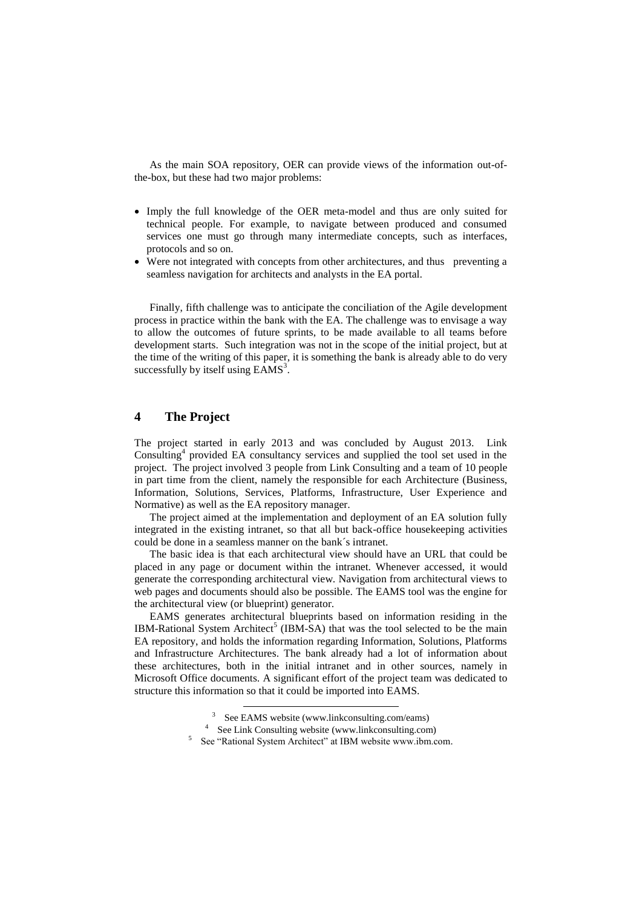As the main SOA repository, OER can provide views of the information out-ofthe-box, but these had two major problems:

- Imply the full knowledge of the OER meta-model and thus are only suited for technical people. For example, to navigate between produced and consumed services one must go through many intermediate concepts, such as interfaces, protocols and so on.
- Were not integrated with concepts from other architectures, and thus preventing a seamless navigation for architects and analysts in the EA portal.

Finally, fifth challenge was to anticipate the conciliation of the Agile development process in practice within the bank with the EA. The challenge was to envisage a way to allow the outcomes of future sprints, to be made available to all teams before development starts. Such integration was not in the scope of the initial project, but at the time of the writing of this paper, it is something the bank is already able to do very successfully by itself using  $EAMS<sup>3</sup>$ .

## **4 The Project**

The project started in early 2013 and was concluded by August 2013. Link Consulting<sup>4</sup> provided EA consultancy services and supplied the tool set used in the project. The project involved 3 people from Link Consulting and a team of 10 people in part time from the client, namely the responsible for each Architecture (Business, Information, Solutions, Services, Platforms, Infrastructure, User Experience and Normative) as well as the EA repository manager.

The project aimed at the implementation and deployment of an EA solution fully integrated in the existing intranet, so that all but back-office housekeeping activities could be done in a seamless manner on the bank´s intranet.

The basic idea is that each architectural view should have an URL that could be placed in any page or document within the intranet. Whenever accessed, it would generate the corresponding architectural view. Navigation from architectural views to web pages and documents should also be possible. The EAMS tool was the engine for the architectural view (or blueprint) generator.

EAMS generates architectural blueprints based on information residing in the IBM-Rational System Architect<sup>5</sup> (IBM-SA) that was the tool selected to be the main EA repository, and holds the information regarding Information, Solutions, Platforms and Infrastructure Architectures. The bank already had a lot of information about these architectures, both in the initial intranet and in other sources, namely in Microsoft Office documents. A significant effort of the project team was dedicated to structure this information so that it could be imported into EAMS.

<sup>&</sup>lt;sup>3</sup> See EAMS website (www.linkconsulting.com/eams)

<sup>4</sup> See Link Consulting website (www.linkconsulting.com)

<sup>&</sup>lt;sup>5</sup> See "Rational System Architect" at IBM website www.ibm.com.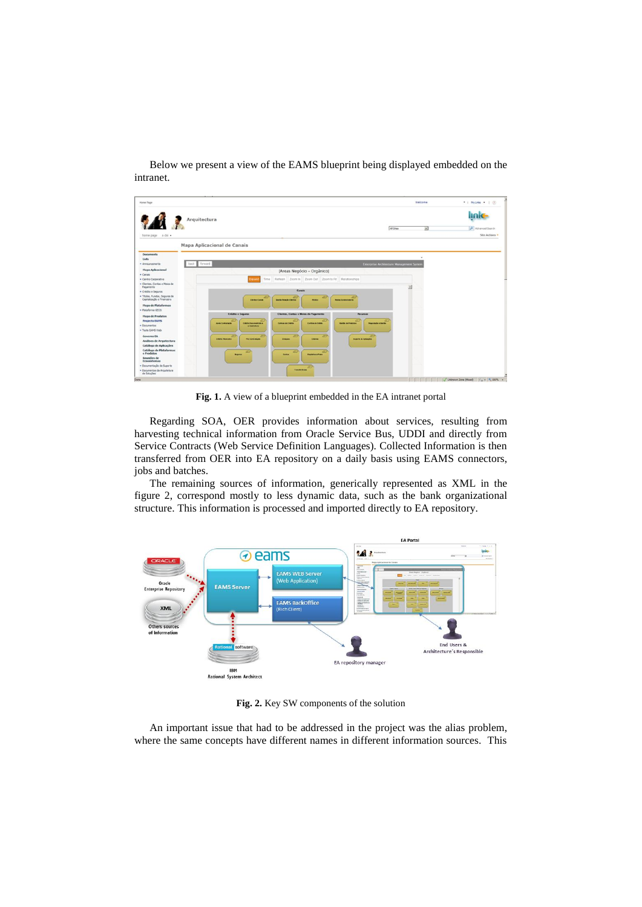

Below we present a view of the EAMS blueprint being displayed embedded on the intranet.

**Fig. 1.** A view of a blueprint embedded in the EA intranet portal

Regarding SOA, OER provides information about services, resulting from harvesting technical information from Oracle Service Bus, UDDI and directly from Service Contracts (Web Service Definition Languages). Collected Information is then transferred from OER into EA repository on a daily basis using EAMS connectors, jobs and batches.

The remaining sources of information, generically represented as XML in the figure 2, correspond mostly to less dynamic data, such as the bank organizational structure. This information is processed and imported directly to EA repository.



**Fig. 2.** Key SW components of the solution

An important issue that had to be addressed in the project was the alias problem, where the same concepts have different names in different information sources. This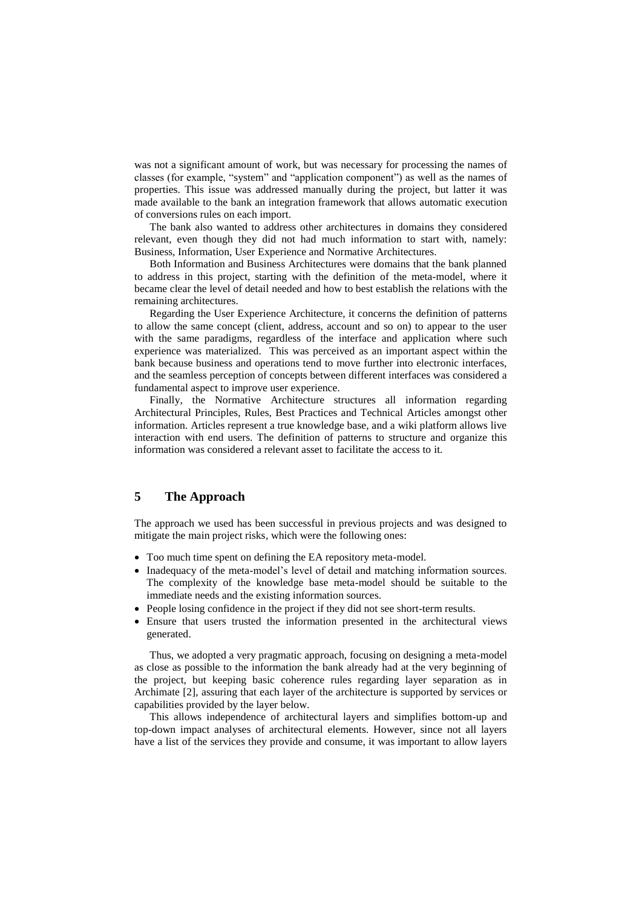was not a significant amount of work, but was necessary for processing the names of classes (for example, "system" and "application component") as well as the names of properties. This issue was addressed manually during the project, but latter it was made available to the bank an integration framework that allows automatic execution of conversions rules on each import.

The bank also wanted to address other architectures in domains they considered relevant, even though they did not had much information to start with, namely: Business, Information, User Experience and Normative Architectures.

Both Information and Business Architectures were domains that the bank planned to address in this project, starting with the definition of the meta-model, where it became clear the level of detail needed and how to best establish the relations with the remaining architectures.

Regarding the User Experience Architecture, it concerns the definition of patterns to allow the same concept (client, address, account and so on) to appear to the user with the same paradigms, regardless of the interface and application where such experience was materialized. This was perceived as an important aspect within the bank because business and operations tend to move further into electronic interfaces, and the seamless perception of concepts between different interfaces was considered a fundamental aspect to improve user experience.

Finally, the Normative Architecture structures all information regarding Architectural Principles, Rules, Best Practices and Technical Articles amongst other information. Articles represent a true knowledge base, and a wiki platform allows live interaction with end users. The definition of patterns to structure and organize this information was considered a relevant asset to facilitate the access to it.

## **5 The Approach**

The approach we used has been successful in previous projects and was designed to mitigate the main project risks, which were the following ones:

- Too much time spent on defining the EA repository meta-model.
- Inadequacy of the meta-model's level of detail and matching information sources. The complexity of the knowledge base meta-model should be suitable to the immediate needs and the existing information sources.
- People losing confidence in the project if they did not see short-term results.
- Ensure that users trusted the information presented in the architectural views generated.

Thus, we adopted a very pragmatic approach, focusing on designing a meta-model as close as possible to the information the bank already had at the very beginning of the project, but keeping basic coherence rules regarding layer separation as in Archimate [2], assuring that each layer of the architecture is supported by services or capabilities provided by the layer below.

This allows independence of architectural layers and simplifies bottom-up and top-down impact analyses of architectural elements. However, since not all layers have a list of the services they provide and consume, it was important to allow layers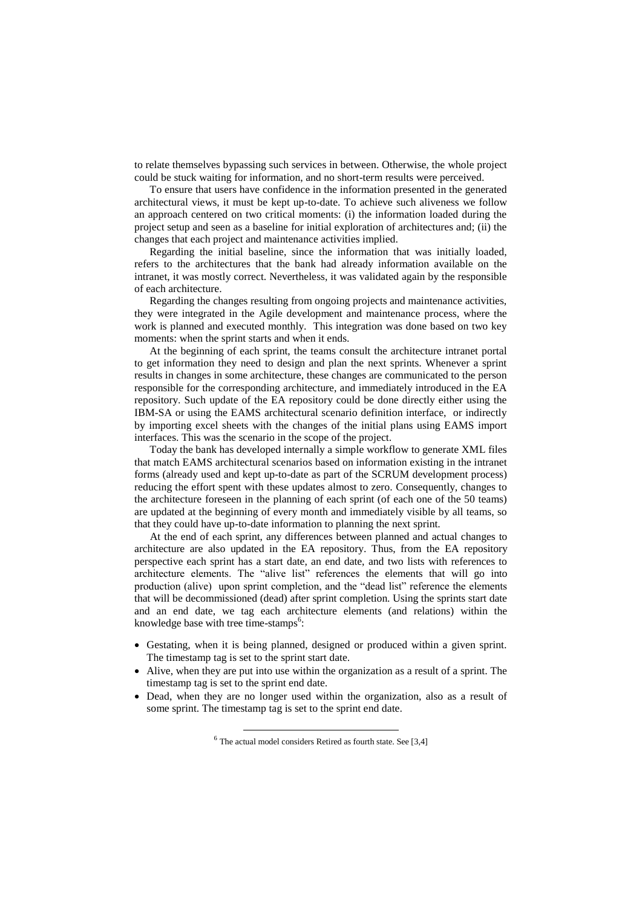to relate themselves bypassing such services in between. Otherwise, the whole project could be stuck waiting for information, and no short-term results were perceived.

To ensure that users have confidence in the information presented in the generated architectural views, it must be kept up-to-date. To achieve such aliveness we follow an approach centered on two critical moments: (i) the information loaded during the project setup and seen as a baseline for initial exploration of architectures and; (ii) the changes that each project and maintenance activities implied.

Regarding the initial baseline, since the information that was initially loaded, refers to the architectures that the bank had already information available on the intranet, it was mostly correct. Nevertheless, it was validated again by the responsible of each architecture.

Regarding the changes resulting from ongoing projects and maintenance activities, they were integrated in the Agile development and maintenance process, where the work is planned and executed monthly. This integration was done based on two key moments: when the sprint starts and when it ends.

At the beginning of each sprint, the teams consult the architecture intranet portal to get information they need to design and plan the next sprints. Whenever a sprint results in changes in some architecture, these changes are communicated to the person responsible for the corresponding architecture, and immediately introduced in the EA repository. Such update of the EA repository could be done directly either using the IBM-SA or using the EAMS architectural scenario definition interface, or indirectly by importing excel sheets with the changes of the initial plans using EAMS import interfaces. This was the scenario in the scope of the project.

Today the bank has developed internally a simple workflow to generate XML files that match EAMS architectural scenarios based on information existing in the intranet forms (already used and kept up-to-date as part of the SCRUM development process) reducing the effort spent with these updates almost to zero. Consequently, changes to the architecture foreseen in the planning of each sprint (of each one of the 50 teams) are updated at the beginning of every month and immediately visible by all teams, so that they could have up-to-date information to planning the next sprint.

At the end of each sprint, any differences between planned and actual changes to architecture are also updated in the EA repository. Thus, from the EA repository perspective each sprint has a start date, an end date, and two lists with references to architecture elements. The "alive list" references the elements that will go into production (alive) upon sprint completion, and the "dead list" reference the elements that will be decommissioned (dead) after sprint completion. Using the sprints start date and an end date, we tag each architecture elements (and relations) within the knowledge base with tree time-stamps<sup>6</sup>:

- Gestating, when it is being planned, designed or produced within a given sprint. The timestamp tag is set to the sprint start date.
- Alive, when they are put into use within the organization as a result of a sprint. The timestamp tag is set to the sprint end date.
- Dead, when they are no longer used within the organization, also as a result of some sprint. The timestamp tag is set to the sprint end date.

 $6$  The actual model considers Retired as fourth state. See [3,4]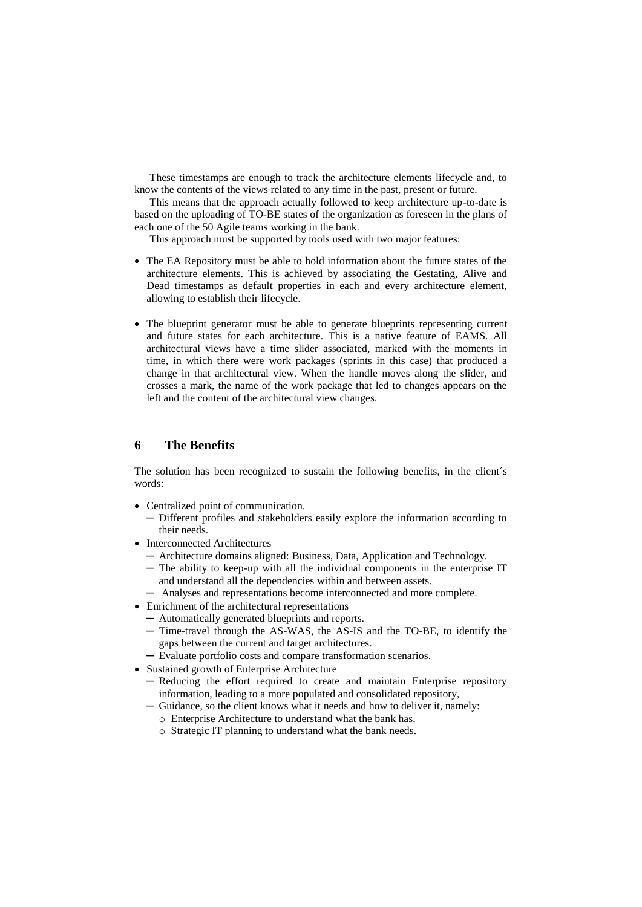These timestamps are enough to track the architecture elements lifecycle and, to know the contents of the views related to any time in the past, present or future.

This means that the approach actually followed to keep architecture up-to-date is based on the uploading of TO-BE states of the organization as foreseen in the plans of each one of the 50 Agile teams working in the bank.

This approach must be supported by tools used with two major features:

- The EA Repository must be able to hold information about the future states of the architecture elements. This is achieved by associating the Gestating, Alive and Dead timestamps as default properties in each and every architecture element, allowing to establish their lifecycle.
- The blueprint generator must be able to generate blueprints representing current and future states for each architecture. This is a native feature of EAMS. All architectural views have a time slider associated, marked with the moments in time, in which there were work packages (sprints in this case) that produced a change in that architectural view. When the handle moves along the slider, and crosses a mark, the name of the work package that led to changes appears on the left and the content of the architectural view changes.

#### **6 The Benefits**

The solution has been recognized to sustain the following benefits, in the client´s words:

- Centralized point of communication.
	- ─ Different profiles and stakeholders easily explore the information according to their needs.
- Interconnected Architectures
	- ─ Architecture domains aligned: Business, Data, Application and Technology.
	- ─ The ability to keep-up with all the individual components in the enterprise IT and understand all the dependencies within and between assets.
	- ─ Analyses and representations become interconnected and more complete.
- Enrichment of the architectural representations
	- ─ Automatically generated blueprints and reports.
	- ─ Time-travel through the AS-WAS, the AS-IS and the TO-BE, to identify the gaps between the current and target architectures.
	- ─ Evaluate portfolio costs and compare transformation scenarios.
- Sustained growth of Enterprise Architecture
	- ─ Reducing the effort required to create and maintain Enterprise repository information, leading to a more populated and consolidated repository,
	- ─ Guidance, so the client knows what it needs and how to deliver it, namely:
		- o Enterprise Architecture to understand what the bank has.
		- o Strategic IT planning to understand what the bank needs.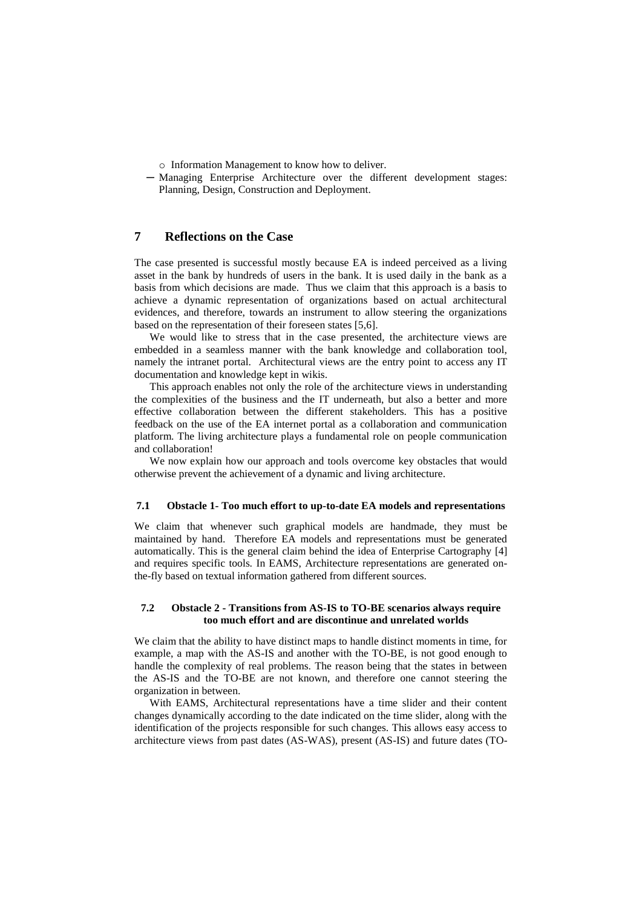- o Information Management to know how to deliver.
- ─ Managing Enterprise Architecture over the different development stages: Planning, Design, Construction and Deployment.

## **7 Reflections on the Case**

The case presented is successful mostly because EA is indeed perceived as a living asset in the bank by hundreds of users in the bank. It is used daily in the bank as a basis from which decisions are made. Thus we claim that this approach is a basis to achieve a dynamic representation of organizations based on actual architectural evidences, and therefore, towards an instrument to allow steering the organizations based on the representation of their foreseen states [5,6].

We would like to stress that in the case presented, the architecture views are embedded in a seamless manner with the bank knowledge and collaboration tool, namely the intranet portal. Architectural views are the entry point to access any IT documentation and knowledge kept in wikis.

This approach enables not only the role of the architecture views in understanding the complexities of the business and the IT underneath, but also a better and more effective collaboration between the different stakeholders. This has a positive feedback on the use of the EA internet portal as a collaboration and communication platform. The living architecture plays a fundamental role on people communication and collaboration!

We now explain how our approach and tools overcome key obstacles that would otherwise prevent the achievement of a dynamic and living architecture.

#### **7.1 Obstacle 1- Too much effort to up-to-date EA models and representations**

We claim that whenever such graphical models are handmade, they must be maintained by hand. Therefore EA models and representations must be generated automatically. This is the general claim behind the idea of Enterprise Cartography [4] and requires specific tools. In EAMS, Architecture representations are generated onthe-fly based on textual information gathered from different sources.

#### **7.2 Obstacle 2 - Transitions from AS-IS to TO-BE scenarios always require too much effort and are discontinue and unrelated worlds**

We claim that the ability to have distinct maps to handle distinct moments in time, for example, a map with the AS-IS and another with the TO-BE, is not good enough to handle the complexity of real problems. The reason being that the states in between the AS-IS and the TO-BE are not known, and therefore one cannot steering the organization in between.

With EAMS, Architectural representations have a time slider and their content changes dynamically according to the date indicated on the time slider, along with the identification of the projects responsible for such changes. This allows easy access to architecture views from past dates (AS-WAS), present (AS-IS) and future dates (TO-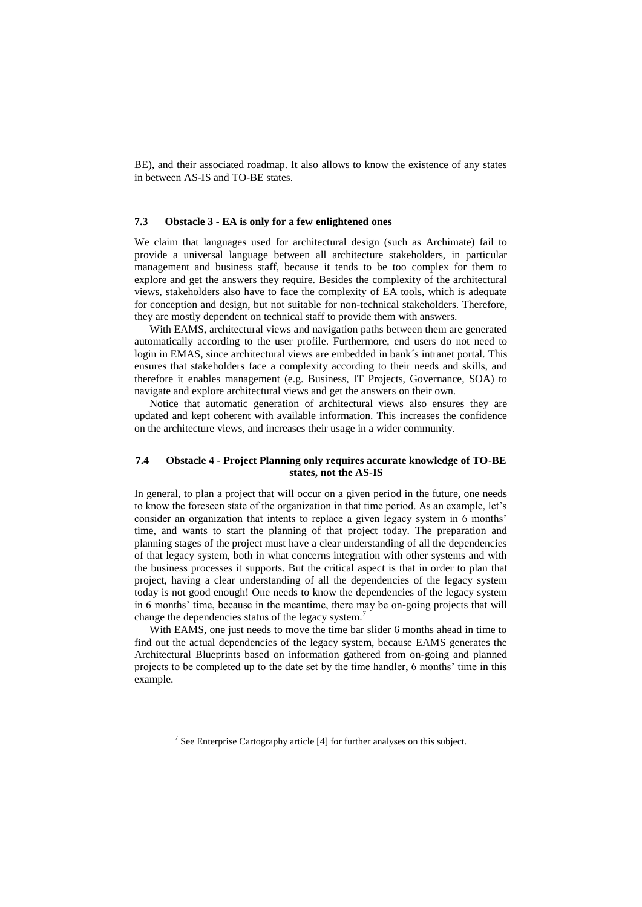BE), and their associated roadmap. It also allows to know the existence of any states in between AS-IS and TO-BE states.

#### **7.3 Obstacle 3 - EA is only for a few enlightened ones**

We claim that languages used for architectural design (such as Archimate) fail to provide a universal language between all architecture stakeholders, in particular management and business staff, because it tends to be too complex for them to explore and get the answers they require. Besides the complexity of the architectural views, stakeholders also have to face the complexity of EA tools, which is adequate for conception and design, but not suitable for non-technical stakeholders. Therefore, they are mostly dependent on technical staff to provide them with answers.

With EAMS, architectural views and navigation paths between them are generated automatically according to the user profile. Furthermore, end users do not need to login in EMAS, since architectural views are embedded in bank´s intranet portal. This ensures that stakeholders face a complexity according to their needs and skills, and therefore it enables management (e.g. Business, IT Projects, Governance, SOA) to navigate and explore architectural views and get the answers on their own.

Notice that automatic generation of architectural views also ensures they are updated and kept coherent with available information. This increases the confidence on the architecture views, and increases their usage in a wider community.

#### **7.4 Obstacle 4 - Project Planning only requires accurate knowledge of TO-BE states, not the AS-IS**

In general, to plan a project that will occur on a given period in the future, one needs to know the foreseen state of the organization in that time period. As an example, let's consider an organization that intents to replace a given legacy system in 6 months' time, and wants to start the planning of that project today. The preparation and planning stages of the project must have a clear understanding of all the dependencies of that legacy system, both in what concerns integration with other systems and with the business processes it supports. But the critical aspect is that in order to plan that project, having a clear understanding of all the dependencies of the legacy system today is not good enough! One needs to know the dependencies of the legacy system in 6 months' time, because in the meantime, there may be on-going projects that will change the dependencies status of the legacy system.<sup>7</sup>

With EAMS, one just needs to move the time bar slider 6 months ahead in time to find out the actual dependencies of the legacy system, because EAMS generates the Architectural Blueprints based on information gathered from on-going and planned projects to be completed up to the date set by the time handler, 6 months' time in this example.

<sup>&</sup>lt;sup>7</sup> See Enterprise Cartography article [4] for further analyses on this subject.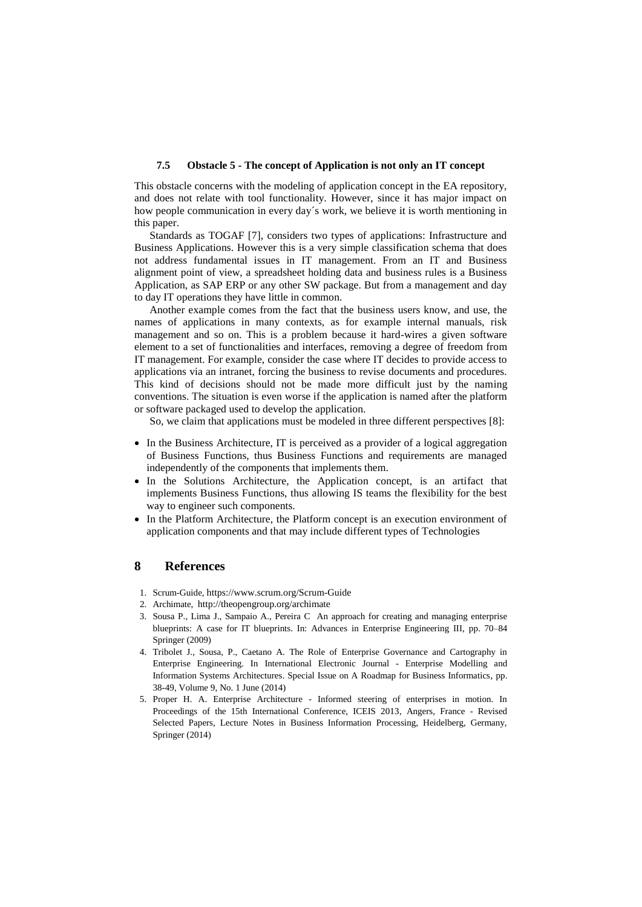#### **7.5 Obstacle 5 - The concept of Application is not only an IT concept**

This obstacle concerns with the modeling of application concept in the EA repository, and does not relate with tool functionality. However, since it has major impact on how people communication in every day´s work, we believe it is worth mentioning in this paper.

Standards as TOGAF [7], considers two types of applications: Infrastructure and Business Applications. However this is a very simple classification schema that does not address fundamental issues in IT management. From an IT and Business alignment point of view, a spreadsheet holding data and business rules is a Business Application, as SAP ERP or any other SW package. But from a management and day to day IT operations they have little in common.

Another example comes from the fact that the business users know, and use, the names of applications in many contexts, as for example internal manuals, risk management and so on. This is a problem because it hard-wires a given software element to a set of functionalities and interfaces, removing a degree of freedom from IT management. For example, consider the case where IT decides to provide access to applications via an intranet, forcing the business to revise documents and procedures. This kind of decisions should not be made more difficult just by the naming conventions. The situation is even worse if the application is named after the platform or software packaged used to develop the application.

So, we claim that applications must be modeled in three different perspectives [8]:

- In the Business Architecture, IT is perceived as a provider of a logical aggregation of Business Functions, thus Business Functions and requirements are managed independently of the components that implements them.
- In the Solutions Architecture, the Application concept, is an artifact that implements Business Functions, thus allowing IS teams the flexibility for the best way to engineer such components.
- In the Platform Architecture, the Platform concept is an execution environment of application components and that may include different types of Technologies

## **8 References**

- 1. Scrum-Guide, https://www.scrum.org/Scrum-Guide
- 2. Archimate, http://theopengroup.org/archimate
- 3. Sousa P., Lima J., Sampaio A., Pereira C An approach for creating and managing enterprise blueprints: A case for IT blueprints. In: Advances in Enterprise Engineering III, pp. 70–84 Springer (2009)
- 4. Tribolet J., Sousa, P., Caetano A. The Role of Enterprise Governance and Cartography in Enterprise Engineering. In International Electronic Journal - Enterprise Modelling and Information Systems Architectures. Special Issue on A Roadmap for Business Informatics, pp. 38-49, Volume 9, No. 1 June (2014)
- 5. Proper H. A. Enterprise Architecture Informed steering of enterprises in motion. In Proceedings of the 15th International Conference, ICEIS 2013, Angers, France - Revised Selected Papers, Lecture Notes in Business Information Processing, Heidelberg, Germany, Springer (2014)